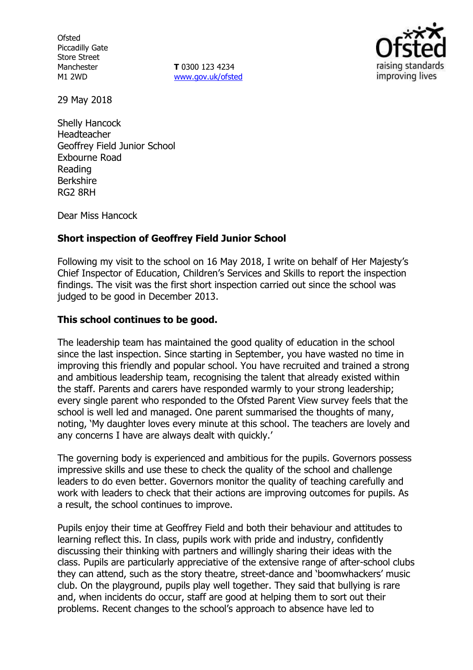**Ofsted** Piccadilly Gate Store Street Manchester M1 2WD

**T** 0300 123 4234 www.gov.uk/ofsted



29 May 2018

Shelly Hancock Headteacher Geoffrey Field Junior School Exbourne Road Reading Berkshire RG2 8RH

Dear Miss Hancock

## **Short inspection of Geoffrey Field Junior School**

Following my visit to the school on 16 May 2018, I write on behalf of Her Majesty's Chief Inspector of Education, Children's Services and Skills to report the inspection findings. The visit was the first short inspection carried out since the school was judged to be good in December 2013.

## **This school continues to be good.**

The leadership team has maintained the good quality of education in the school since the last inspection. Since starting in September, you have wasted no time in improving this friendly and popular school. You have recruited and trained a strong and ambitious leadership team, recognising the talent that already existed within the staff. Parents and carers have responded warmly to your strong leadership; every single parent who responded to the Ofsted Parent View survey feels that the school is well led and managed. One parent summarised the thoughts of many, noting, 'My daughter loves every minute at this school. The teachers are lovely and any concerns I have are always dealt with quickly.'

The governing body is experienced and ambitious for the pupils. Governors possess impressive skills and use these to check the quality of the school and challenge leaders to do even better. Governors monitor the quality of teaching carefully and work with leaders to check that their actions are improving outcomes for pupils. As a result, the school continues to improve.

Pupils enjoy their time at Geoffrey Field and both their behaviour and attitudes to learning reflect this. In class, pupils work with pride and industry, confidently discussing their thinking with partners and willingly sharing their ideas with the class. Pupils are particularly appreciative of the extensive range of after-school clubs they can attend, such as the story theatre, street-dance and 'boomwhackers' music club. On the playground, pupils play well together. They said that bullying is rare and, when incidents do occur, staff are good at helping them to sort out their problems. Recent changes to the school's approach to absence have led to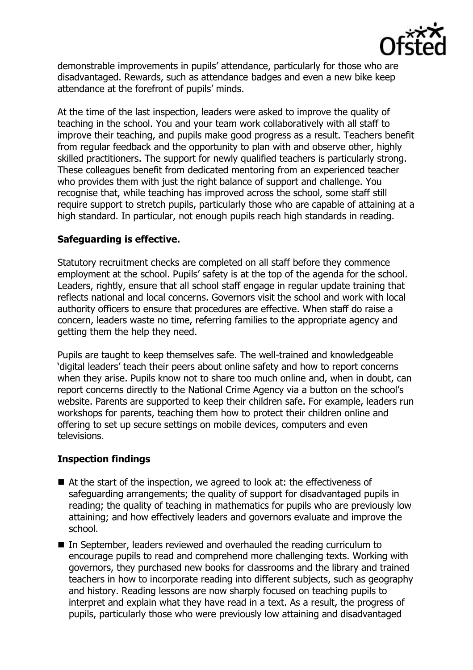

demonstrable improvements in pupils' attendance, particularly for those who are disadvantaged. Rewards, such as attendance badges and even a new bike keep attendance at the forefront of pupils' minds.

At the time of the last inspection, leaders were asked to improve the quality of teaching in the school. You and your team work collaboratively with all staff to improve their teaching, and pupils make good progress as a result. Teachers benefit from regular feedback and the opportunity to plan with and observe other, highly skilled practitioners. The support for newly qualified teachers is particularly strong. These colleagues benefit from dedicated mentoring from an experienced teacher who provides them with just the right balance of support and challenge. You recognise that, while teaching has improved across the school, some staff still require support to stretch pupils, particularly those who are capable of attaining at a high standard. In particular, not enough pupils reach high standards in reading.

## **Safeguarding is effective.**

Statutory recruitment checks are completed on all staff before they commence employment at the school. Pupils' safety is at the top of the agenda for the school. Leaders, rightly, ensure that all school staff engage in regular update training that reflects national and local concerns. Governors visit the school and work with local authority officers to ensure that procedures are effective. When staff do raise a concern, leaders waste no time, referring families to the appropriate agency and getting them the help they need.

Pupils are taught to keep themselves safe. The well-trained and knowledgeable 'digital leaders' teach their peers about online safety and how to report concerns when they arise. Pupils know not to share too much online and, when in doubt, can report concerns directly to the National Crime Agency via a button on the school's website. Parents are supported to keep their children safe. For example, leaders run workshops for parents, teaching them how to protect their children online and offering to set up secure settings on mobile devices, computers and even televisions.

# **Inspection findings**

- At the start of the inspection, we agreed to look at: the effectiveness of safeguarding arrangements; the quality of support for disadvantaged pupils in reading; the quality of teaching in mathematics for pupils who are previously low attaining; and how effectively leaders and governors evaluate and improve the school.
- In September, leaders reviewed and overhauled the reading curriculum to encourage pupils to read and comprehend more challenging texts. Working with governors, they purchased new books for classrooms and the library and trained teachers in how to incorporate reading into different subjects, such as geography and history. Reading lessons are now sharply focused on teaching pupils to interpret and explain what they have read in a text. As a result, the progress of pupils, particularly those who were previously low attaining and disadvantaged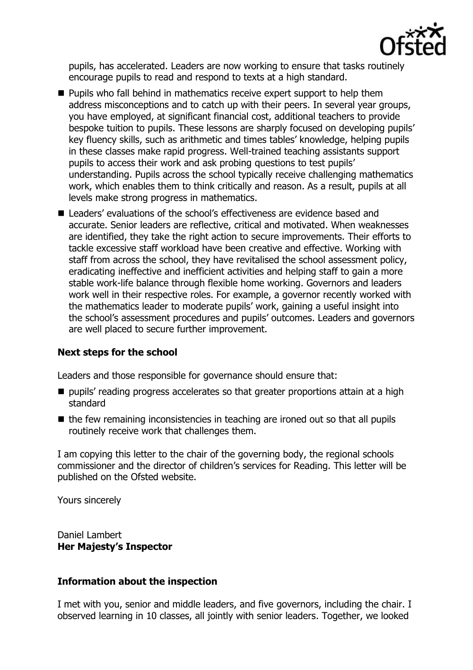

pupils, has accelerated. Leaders are now working to ensure that tasks routinely encourage pupils to read and respond to texts at a high standard.

- **Pupils who fall behind in mathematics receive expert support to help them** address misconceptions and to catch up with their peers. In several year groups, you have employed, at significant financial cost, additional teachers to provide bespoke tuition to pupils. These lessons are sharply focused on developing pupils' key fluency skills, such as arithmetic and times tables' knowledge, helping pupils in these classes make rapid progress. Well-trained teaching assistants support pupils to access their work and ask probing questions to test pupils' understanding. Pupils across the school typically receive challenging mathematics work, which enables them to think critically and reason. As a result, pupils at all levels make strong progress in mathematics.
- Leaders' evaluations of the school's effectiveness are evidence based and accurate. Senior leaders are reflective, critical and motivated. When weaknesses are identified, they take the right action to secure improvements. Their efforts to tackle excessive staff workload have been creative and effective. Working with staff from across the school, they have revitalised the school assessment policy, eradicating ineffective and inefficient activities and helping staff to gain a more stable work-life balance through flexible home working. Governors and leaders work well in their respective roles. For example, a governor recently worked with the mathematics leader to moderate pupils' work, gaining a useful insight into the school's assessment procedures and pupils' outcomes. Leaders and governors are well placed to secure further improvement.

# **Next steps for the school**

Leaders and those responsible for governance should ensure that:

- $\blacksquare$  pupils' reading progress accelerates so that greater proportions attain at a high standard
- $\blacksquare$  the few remaining inconsistencies in teaching are ironed out so that all pupils routinely receive work that challenges them.

I am copying this letter to the chair of the governing body, the regional schools commissioner and the director of children's services for Reading. This letter will be published on the Ofsted website.

Yours sincerely

Daniel Lambert **Her Majesty's Inspector**

## **Information about the inspection**

I met with you, senior and middle leaders, and five governors, including the chair. I observed learning in 10 classes, all jointly with senior leaders. Together, we looked